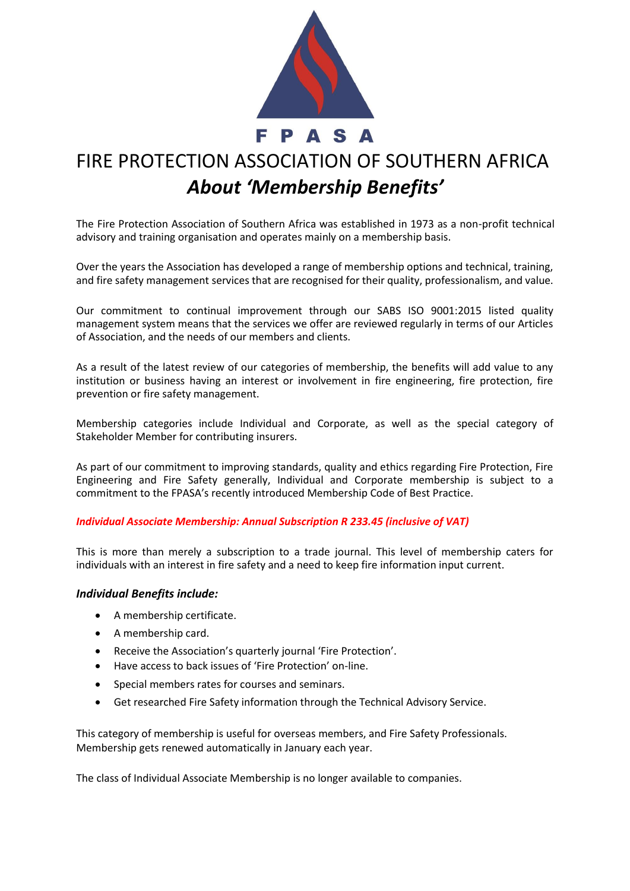

# FIRE PROTECTION ASSOCIATION OF SOUTHERN AFRICA *About 'Membership Benefits'*

The Fire Protection Association of Southern Africa was established in 1973 as a non-profit technical advisory and training organisation and operates mainly on a membership basis.

Over the years the Association has developed a range of membership options and technical, training, and fire safety management services that are recognised for their quality, professionalism, and value.

Our commitment to continual improvement through our SABS ISO 9001:2015 listed quality management system means that the services we offer are reviewed regularly in terms of our Articles of Association, and the needs of our members and clients.

As a result of the latest review of our categories of membership, the benefits will add value to any institution or business having an interest or involvement in fire engineering, fire protection, fire prevention or fire safety management.

Membership categories include Individual and Corporate, as well as the special category of Stakeholder Member for contributing insurers.

As part of our commitment to improving standards, quality and ethics regarding Fire Protection, Fire Engineering and Fire Safety generally, Individual and Corporate membership is subject to a commitment to the FPASA's recently introduced Membership Code of Best Practice.

## *Individual Associate Membership: Annual Subscription R 233.45 (inclusive of VAT)*

This is more than merely a subscription to a trade journal. This level of membership caters for individuals with an interest in fire safety and a need to keep fire information input current.

## *Individual Benefits include:*

- A membership certificate.
- A membership card.
- Receive the Association's quarterly journal 'Fire Protection'.
- Have access to back issues of 'Fire Protection' on-line.
- Special members rates for courses and seminars.
- Get researched Fire Safety information through the Technical Advisory Service.

This category of membership is useful for overseas members, and Fire Safety Professionals. Membership gets renewed automatically in January each year.

The class of Individual Associate Membership is no longer available to companies.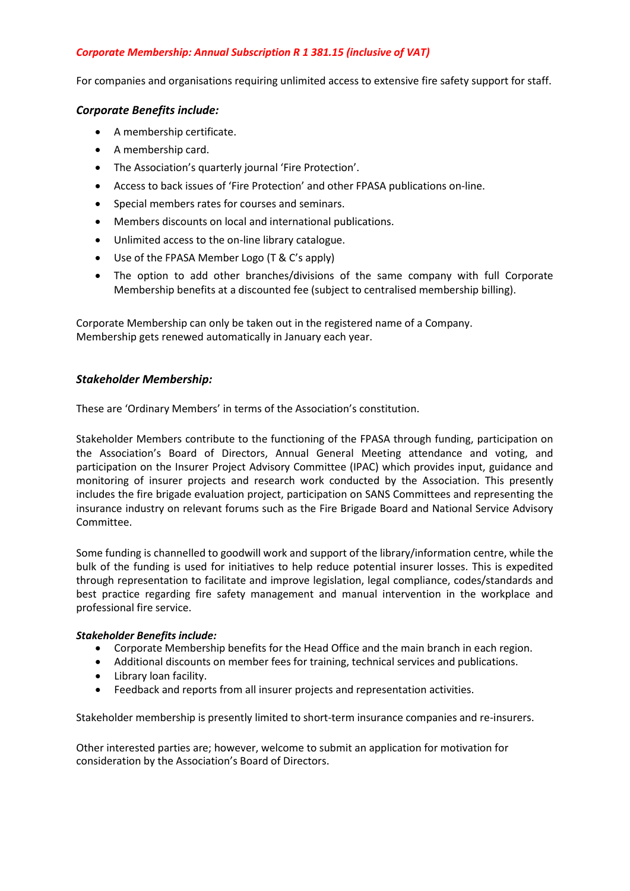## *Corporate Membership: Annual Subscription R 1 381.15 (inclusive of VAT)*

For companies and organisations requiring unlimited access to extensive fire safety support for staff.

## *Corporate Benefits include:*

- A membership certificate.
- A membership card.
- The Association's quarterly journal 'Fire Protection'.
- Access to back issues of 'Fire Protection' and other FPASA publications on-line.
- Special members rates for courses and seminars.
- Members discounts on local and international publications.
- Unlimited access to the on-line library catalogue.
- Use of the FPASA Member Logo (T & C's apply)
- The option to add other branches/divisions of the same company with full Corporate Membership benefits at a discounted fee (subject to centralised membership billing).

Corporate Membership can only be taken out in the registered name of a Company. Membership gets renewed automatically in January each year.

## *Stakeholder Membership:*

These are 'Ordinary Members' in terms of the Association's constitution.

Stakeholder Members contribute to the functioning of the FPASA through funding, participation on the Association's Board of Directors, Annual General Meeting attendance and voting, and participation on the Insurer Project Advisory Committee (IPAC) which provides input, guidance and monitoring of insurer projects and research work conducted by the Association. This presently includes the fire brigade evaluation project, participation on SANS Committees and representing the insurance industry on relevant forums such as the Fire Brigade Board and National Service Advisory Committee.

Some funding is channelled to goodwill work and support of the library/information centre, while the bulk of the funding is used for initiatives to help reduce potential insurer losses. This is expedited through representation to facilitate and improve legislation, legal compliance, codes/standards and best practice regarding fire safety management and manual intervention in the workplace and professional fire service.

#### *Stakeholder Benefits include:*

- Corporate Membership benefits for the Head Office and the main branch in each region.
- Additional discounts on member fees for training, technical services and publications.
- Library loan facility.
- Feedback and reports from all insurer projects and representation activities.

Stakeholder membership is presently limited to short-term insurance companies and re-insurers.

Other interested parties are; however, welcome to submit an application for motivation for consideration by the Association's Board of Directors.